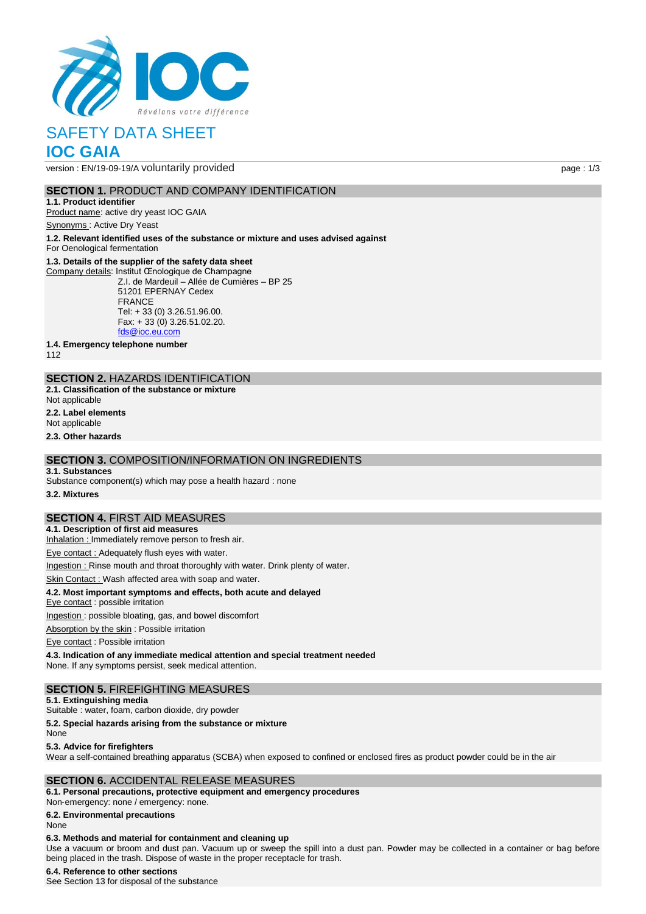

# SAFETY DATA SHEET **IOC GAIA**

version : EN/19-09-19/A voluntarily provided page : 1/3

# **SECTION 1. PRODUCT AND COMPANY IDENTIFICATION**

**1.1. Product identifier** Product name: active dry yeast IOC GAIA

Synonyms : Active Dry Yeast

**1.2. Relevant identified uses of the substance or mixture and uses advised against**

For Oenological fermentation

### **1.3. Details of the supplier of the safety data sheet**

Company details: Institut Œnologique de Champagne Z.I. de Mardeuil – Allée de Cumières – BP 25 51201 EPERNAY Cedex FRANCE Tel: + 33 (0) 3.26.51.96.00. Fax: + 33 (0) 3.26.51.02.20. [fds@ioc.eu.com](mailto:fds@ioc.eu.com)

**1.4. Emergency telephone number**

112

## **SECTION 2.** HAZARDS IDENTIFICATION

- **2.1. Classification of the substance or mixture**
- Not applicable
- **2.2. Label elements**

Not applicable

**2.3. Other hazards**

# **SECTION 3.** COMPOSITION/INFORMATION ON INGREDIENTS

#### **3.1. Substances**

Substance component(s) which may pose a health hazard : none

**3.2. Mixtures**

# **SECTION 4.** FIRST AID MEASURES

**4.1. Description of first aid measures**

Inhalation : Immediately remove person to fresh air.

Eye contact : Adequately flush eyes with water.

Ingestion : Rinse mouth and throat thoroughly with water. Drink plenty of water.

Skin Contact : Wash affected area with soap and water.

### **4.2. Most important symptoms and effects, both acute and delayed**

Eye contact : possible irritation

Ingestion : possible bloating, gas, and bowel discomfort

Absorption by the skin : Possible irritation

Eye contact : Possible irritation

**4.3. Indication of any immediate medical attention and special treatment needed** None. If any symptoms persist, seek medical attention.

# **SECTION 5.** FIREFIGHTING MEASURES

**5.1. Extinguishing media**

Suitable : water, foam, carbon dioxide, dry powder

**5.2. Special hazards arising from the substance or mixture**

None

### **5.3. Advice for firefighters**

Wear a self-contained breathing apparatus (SCBA) when exposed to confined or enclosed fires as product powder could be in the air

## **SECTION 6.** ACCIDENTAL RELEASE MEASURES

**6.1. Personal precautions, protective equipment and emergency procedures**

Non‐emergency: none / emergency: none.

## **6.2. Environmental precautions**

None

## **6.3. Methods and material for containment and cleaning up**

Use a vacuum or broom and dust pan. Vacuum up or sweep the spill into a dust pan. Powder may be collected in a container or bag before being placed in the trash. Dispose of waste in the proper receptacle for trash.

#### **6.4. Reference to other sections**

See Section 13 for disposal of the substance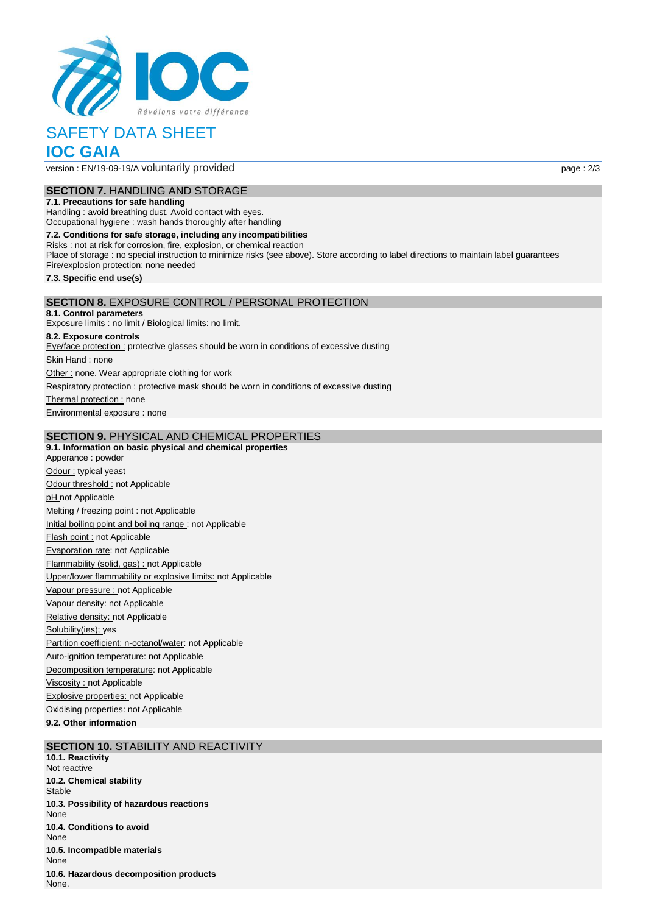

# SAFETY DATA SHEET **IOC GAIA**

version : EN/19-09-19/A voluntarily provided page : 2/3

# **SECTION 7.** HANDLING AND STORAGE

## **7.1. Precautions for safe handling**

Handling : avoid breathing dust. Avoid contact with eyes. Occupational hygiene : wash hands thoroughly after handling

**7.2. Conditions for safe storage, including any incompatibilities** Risks : not at risk for corrosion, fire, explosion, or chemical reaction Place of storage : no special instruction to minimize risks (see above). Store according to label directions to maintain label guarantees Fire/explosion protection: none needed **7.3. Specific end use(s) SECTION 8.** EXPOSURE CONTROL / PERSONAL PROTECTION **8.1. Control parameters** Exposure limits : no limit / Biological limits: no limit.

**8.2. Exposure controls**

Eye/face protection : protective glasses should be worn in conditions of excessive dusting

Skin Hand : none

Other : none. Wear appropriate clothing for work

Respiratory protection : protective mask should be worn in conditions of excessive dusting

Thermal protection : none

Environmental exposure : none

## **SECTION 9.** PHYSICAL AND CHEMICAL PROPERTIES

**9.1. Information on basic physical and chemical properties** Apperance : powder Odour : typical yeast Odour threshold : not Applicable pH not Applicable Melting / freezing point : not Applicable Initial boiling point and boiling range : not Applicable Flash point : not Applicable Evaporation rate: not Applicable Flammability (solid, gas) : not Applicable Upper/lower flammability or explosive limits: not Applicable Vapour pressure : not Applicable Vapour density: not Applicable Relative density: not Applicable Solubility(ies); yes Partition coefficient: n-octanol/water: not Applicable Auto-ignition temperature: not Applicable Decomposition temperature: not Applicable Viscosity : not Applicable Explosive properties: not Applicable Oxidising properties: not Applicable

**9.2. Other information**

# **SECTION 10.** STABILITY AND REACTIVITY

**10.1. Reactivity** Not reactive **10.2. Chemical stability Stable 10.3. Possibility of hazardous reactions** None **10.4. Conditions to avoid** None **10.5. Incompatible materials** None **10.6. Hazardous decomposition products** None.